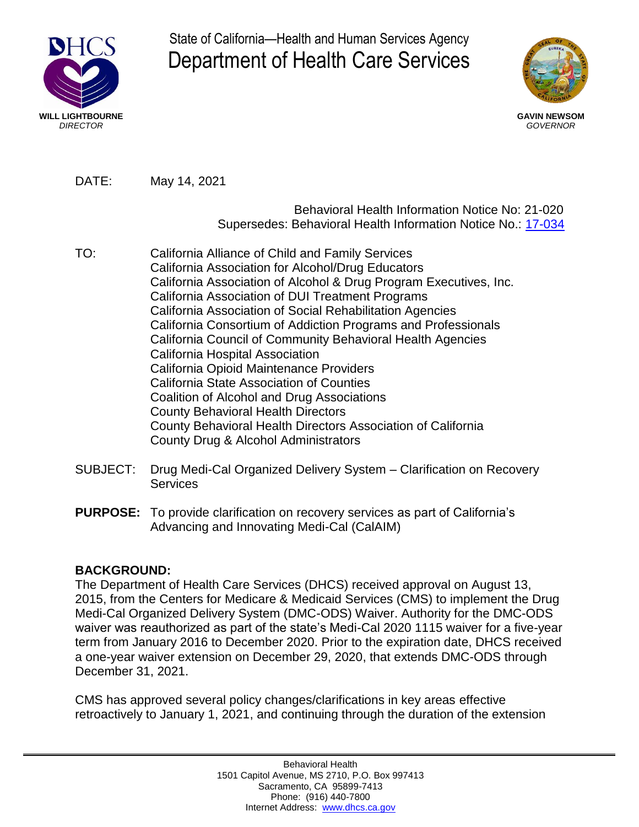

State of California—Health and Human Services Agency Department of Health Care Services



DATE: May 14, 2021

## Behavioral Health Information Notice No: 21-020 Supersedes: Behavioral Health Information Notice No.: [17-034](https://www.dhcs.ca.gov/formsandpubs/Documents/MHSUDS_Information_Notice_17-034.pdf)

- TO: California Alliance of Child and Family Services California Association for Alcohol/Drug Educators California Association of Alcohol & Drug Program Executives, Inc. California Association of DUI Treatment Programs California Association of Social Rehabilitation Agencies California Consortium of Addiction Programs and Professionals California Council of Community Behavioral Health Agencies California Hospital Association California Opioid Maintenance Providers California State Association of Counties Coalition of Alcohol and Drug Associations County Behavioral Health Directors County Behavioral Health Directors Association of California County Drug & Alcohol Administrators
- SUBJECT: Drug Medi-Cal Organized Delivery System Clarification on Recovery **Services**
- **PURPOSE:** To provide clarification on recovery services as part of California's Advancing and Innovating Medi-Cal (CalAIM)

## **BACKGROUND:**

The Department of Health Care Services (DHCS) received approval on August 13, 2015, from the Centers for Medicare & Medicaid Services (CMS) to implement the Drug Medi-Cal Organized Delivery System (DMC-ODS) Waiver. Authority for the DMC-ODS waiver was reauthorized as part of the state's Medi-Cal 2020 1115 waiver for a five-year term from January 2016 to December 2020. Prior to the expiration date, DHCS received a one-year waiver extension on December 29, 2020, that extends DMC-ODS through December 31, 2021.

CMS has approved several policy changes/clarifications in key areas effective retroactively to January 1, 2021, and continuing through the duration of the extension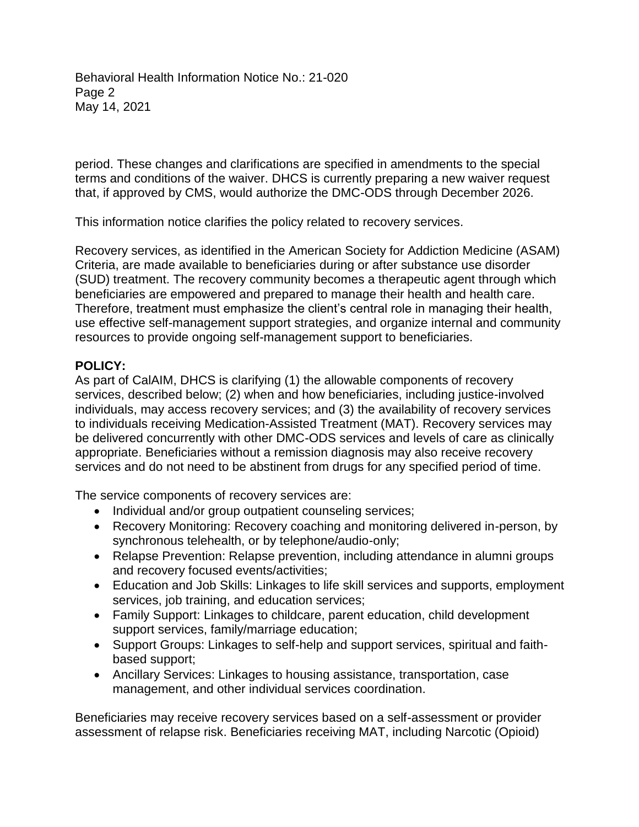Behavioral Health Information Notice No.: 21-020 Page 2 May 14, 2021

period. These changes and clarifications are specified in amendments to the special terms and conditions of the waiver. DHCS is currently preparing a new waiver request that, if approved by CMS, would authorize the DMC-ODS through December 2026.

This information notice clarifies the policy related to recovery services.

Recovery services, as identified in the American Society for Addiction Medicine (ASAM) Criteria, are made available to beneficiaries during or after substance use disorder (SUD) treatment. The recovery community becomes a therapeutic agent through which beneficiaries are empowered and prepared to manage their health and health care. Therefore, treatment must emphasize the client's central role in managing their health, use effective self-management support strategies, and organize internal and community resources to provide ongoing self-management support to beneficiaries.

## **POLICY:**

As part of CalAIM, DHCS is clarifying (1) the allowable components of recovery services, described below; (2) when and how beneficiaries, including justice-involved individuals, may access recovery services; and (3) the availability of recovery services to individuals receiving Medication-Assisted Treatment (MAT). Recovery services may be delivered concurrently with other DMC-ODS services and levels of care as clinically appropriate. Beneficiaries without a remission diagnosis may also receive recovery services and do not need to be abstinent from drugs for any specified period of time.

The service components of recovery services are:

- Individual and/or group outpatient counseling services;
- Recovery Monitoring: Recovery coaching and monitoring delivered in-person, by synchronous telehealth, or by telephone/audio-only;
- Relapse Prevention: Relapse prevention, including attendance in alumni groups and recovery focused events/activities;
- Education and Job Skills: Linkages to life skill services and supports, employment services, job training, and education services;
- Family Support: Linkages to childcare, parent education, child development support services, family/marriage education;
- Support Groups: Linkages to self-help and support services, spiritual and faithbased support;
- Ancillary Services: Linkages to housing assistance, transportation, case management, and other individual services coordination.

Beneficiaries may receive recovery services based on a self-assessment or provider assessment of relapse risk. Beneficiaries receiving MAT, including Narcotic (Opioid)